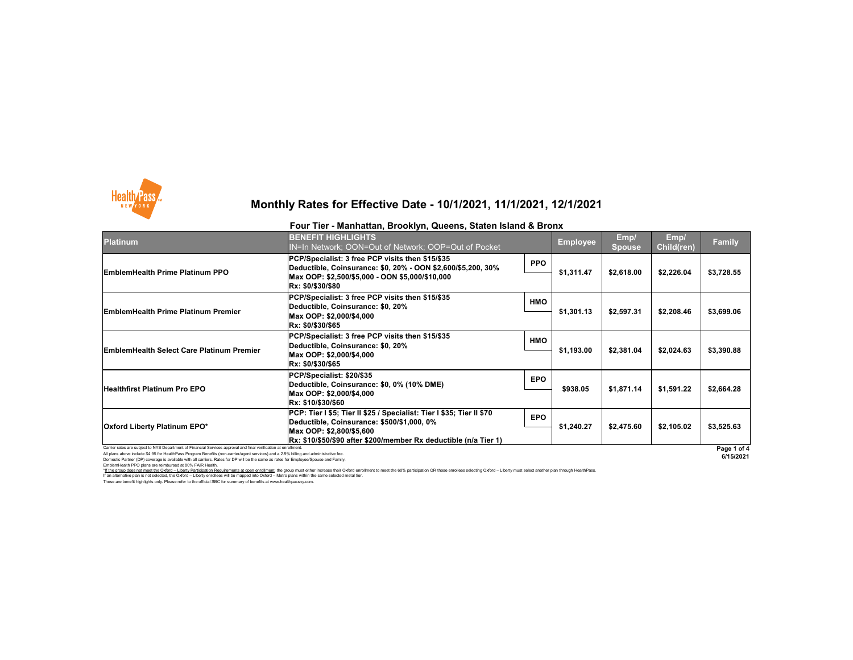Carrier rates are subject to NYS Department of Financial Services approval and final verification at enrollment. All plans above include \$4.95 for HealthPass Program Benefits (non-carrier/agent services) and a 2.9% billing and administrative fee. Domestic Partner (DP) coverage is available with all carriers. Rates for DP will be the same as rates for Employee/Spouse and Family.

EmblemHealth PPO plans are reimbursed at 80% FAIR Health.

I hese are benefit highlights only. Please refer to the official SBC for summary of benefits at www.healthpassny.com. \*If the group does not meet the Oxford - Liberty Participation Requirements at open enrollment: the group must either increase their Oxford enrollment to meet the 60% participation OR those enrollees selecting Oxford - Lib If an alternative plan is not selected, the Oxford – Liberty enrollees will be mapped into Oxford – Metro plans within the same selected metal tier.



## **Monthly Rates for Effective Date - 10/1/2021, 11/1/2021, 12/1/2021**



|                                                                                                                | Four Tier - Manhattan, Brooklyn, Queens, Staten Island & Bronx                                                        |            |                 |                       |                           |               |  |
|----------------------------------------------------------------------------------------------------------------|-----------------------------------------------------------------------------------------------------------------------|------------|-----------------|-----------------------|---------------------------|---------------|--|
| <b>Platinum</b>                                                                                                | <b>BENEFIT HIGHLIGHTS</b><br>IN=In Network; OON=Out of Network; OOP=Out of Pocket                                     |            | <b>Employee</b> | Emp/<br><b>Spouse</b> | Emp/<br><b>Child(ren)</b> | <b>Family</b> |  |
| <b>EmblemHealth Prime Platinum PPO</b>                                                                         | PCP/Specialist: 3 free PCP visits then \$15/\$35<br> Deductible, Coinsurance: \$0, 20% - OON \$2,600/\$5,200, 30%     | <b>PPO</b> | \$1,311.47      | \$2,618.00            | \$2,226.04                | \$3,728.55    |  |
|                                                                                                                | Max OOP: \$2,500/\$5,000 - OON \$5,000/\$10,000<br>Rx: \$0/\$30/\$80                                                  |            |                 |                       |                           |               |  |
| <b>EmblemHealth Prime Platinum Premier</b>                                                                     | PCP/Specialist: 3 free PCP visits then \$15/\$35<br>Deductible, Coinsurance: \$0, 20%                                 | <b>HMO</b> |                 | \$2,597.31            | \$2,208.46                | \$3,699.06    |  |
|                                                                                                                | Max OOP: \$2,000/\$4,000<br> Rx: \$0/\$30/\$65                                                                        |            | \$1,301.13      |                       |                           |               |  |
| <b>EmblemHealth Select Care Platinum Premier</b>                                                               | PCP/Specialist: 3 free PCP visits then \$15/\$35<br>Deductible, Coinsurance: \$0, 20%                                 | <b>HMO</b> | \$1,193.00      | \$2,381.04            | \$2,024.63                | \$3,390.88    |  |
|                                                                                                                | Max OOP: \$2,000/\$4,000<br>Rx: \$0/\$30/\$65                                                                         |            |                 |                       |                           |               |  |
| <b>Healthfirst Platinum Pro EPO</b>                                                                            | PCP/Specialist: \$20/\$35<br>Deductible, Coinsurance: \$0, 0% (10% DME)                                               | <b>EPO</b> |                 | \$1,871.14            | \$1,591.22                | \$2,664.28    |  |
|                                                                                                                | Max OOP: \$2,000/\$4,000<br>Rx: \$10/\$30/\$60                                                                        |            | \$938.05        |                       |                           |               |  |
| <b>Oxford Liberty Platinum EPO*</b>                                                                            | PCP: Tier I \$5; Tier II \$25 / Specialist: Tier I \$35; Tier II \$70_<br> Deductible, Coinsurance: \$500/\$1,000, 0% | <b>EPO</b> |                 | \$2,475.60            | \$2,105.02                | \$3,525.63    |  |
|                                                                                                                | Max OOP: \$2,800/\$5,600 <br> Rx: \$10/\$50/\$90 after \$200/member Rx deductible (n/a Tier 1)                        |            | \$1,240.27      |                       |                           |               |  |
| Carrier rates are subject to NVS Department of Einancial Services approval and final verification at enrollmen |                                                                                                                       |            |                 |                       |                           | $D = -1$      |  |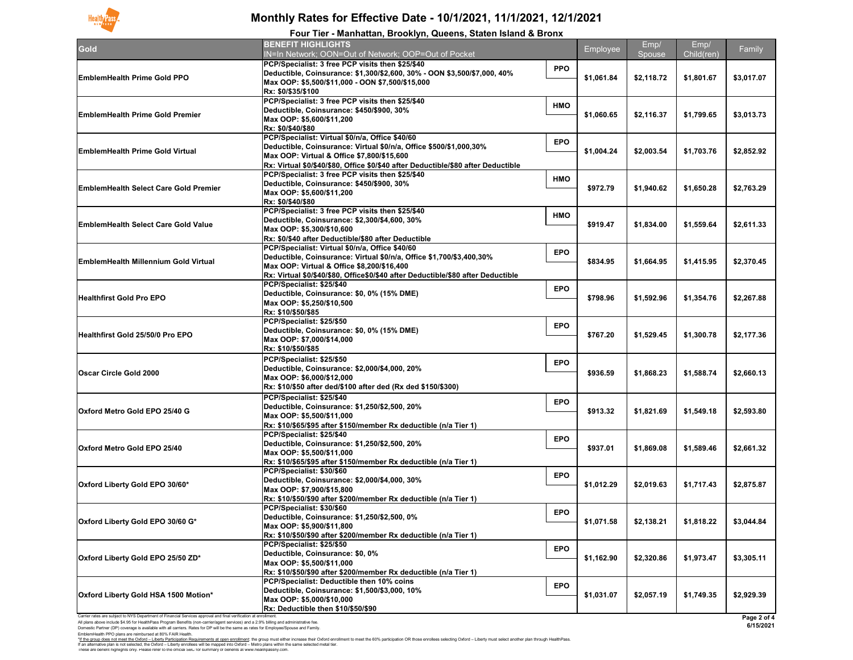

# **Monthly Rates for Effective Date - 10/1/2021, 11/1/2021, 12/1/2021**

| Four Tier - Manhattan, Brooklyn, Queens, Staten Island & Bronx |                                                                                                                                                                                                                                                           |                          |                |                    |            |  |  |
|----------------------------------------------------------------|-----------------------------------------------------------------------------------------------------------------------------------------------------------------------------------------------------------------------------------------------------------|--------------------------|----------------|--------------------|------------|--|--|
| <b>Gold</b>                                                    | <b>BENEFIT HIGHLIGHTS</b><br>IN=In Network; OON=Out of Network; OOP=Out of Pocket                                                                                                                                                                         | Employee                 | Emp/<br>Spouse | Emp/<br>Child(ren) | Family     |  |  |
| <b>EmblemHealth Prime Gold PPO</b>                             | PCP/Specialist: 3 free PCP visits then \$25/\$40<br> Deductible, Coinsurance: \$1,300/\$2,600, 30% - OON \$3,500/\$7,000, 40%<br>Max OOP: \$5,500/\$11,000 - OON \$7,500/\$15,000<br>Rx: \$0/\$35/\$100                                                   | <b>PPO</b><br>\$1,061.84 | \$2,118.72     | \$1,801.67         | \$3,017.07 |  |  |
| <b>EmblemHealth Prime Gold Premier</b>                         | PCP/Specialist: 3 free PCP visits then \$25/\$40<br>Deductible, Coinsurance: \$450/\$900, 30%<br>Max OOP: \$5,600/\$11,200<br>Rx: \$0/\$40/\$80                                                                                                           | <b>HMO</b><br>\$1,060.65 | \$2,116.37     | \$1,799.65         | \$3,013.73 |  |  |
| <b>EmblemHealth Prime Gold Virtual</b>                         | PCP/Specialist: Virtual \$0/n/a, Office \$40/60<br>Deductible, Coinsurance: Virtual \$0/n/a, Office \$500/\$1,000,30%<br>Max OOP: Virtual & Office \$7,800/\$15,600<br>Rx: Virtual \$0/\$40/\$80, Office \$0/\$40 after Deductible/\$80 after Deductible  | <b>EPO</b><br>\$1,004.24 | \$2,003.54     | \$1,703.76         | \$2,852.92 |  |  |
| <b>EmblemHealth Select Care Gold Premier</b>                   | PCP/Specialist: 3 free PCP visits then \$25/\$40<br>Deductible, Coinsurance: \$450/\$900, 30%<br>Max OOP: \$5,600/\$11,200<br>Rx: \$0/\$40/\$80                                                                                                           | <b>HMO</b><br>\$972.79   | \$1,940.62     | \$1,650.28         | \$2,763.29 |  |  |
| <b>EmblemHealth Select Care Gold Value</b>                     | PCP/Specialist: 3 free PCP visits then \$25/\$40<br>Deductible, Coinsurance: \$2,300/\$4,600, 30%<br>Max OOP: \$5,300/\$10,600<br>Rx: \$0/\$40 after Deductible/\$80 after Deductible                                                                     | <b>HMO</b><br>\$919.47   | \$1,834.00     | \$1,559.64         | \$2,611.33 |  |  |
| <b>EmblemHealth Millennium Gold Virtual</b>                    | PCP/Specialist: Virtual \$0/n/a, Office \$40/60<br>Deductible, Coinsurance: Virtual \$0/n/a, Office \$1,700/\$3,400,30%<br>Max OOP: Virtual & Office \$8,200/\$16,400<br>Rx: Virtual \$0/\$40/\$80, Office\$0/\$40 after Deductible/\$80 after Deductible | <b>EPO</b><br>\$834.95   | \$1,664.95     | \$1,415.95         | \$2,370.45 |  |  |
| <b>Healthfirst Gold Pro EPO</b>                                | PCP/Specialist: \$25/\$40<br>Deductible, Coinsurance: \$0, 0% (15% DME)<br>Max OOP: \$5,250/\$10,500<br>Rx: \$10/\$50/\$85                                                                                                                                | <b>EPO</b><br>\$798.96   | \$1,592.96     | \$1,354.76         | \$2,267.88 |  |  |
| <b>Healthfirst Gold 25/50/0 Pro EPO</b>                        | PCP/Specialist: \$25/\$50<br>Deductible, Coinsurance: \$0, 0% (15% DME)<br>Max OOP: \$7,000/\$14,000<br>Rx: \$10/\$50/\$85                                                                                                                                | <b>EPO</b><br>\$767.20   | \$1,529.45     | \$1,300.78         | \$2,177.36 |  |  |
| Oscar Circle Gold 2000                                         | PCP/Specialist: \$25/\$50<br>Deductible, Coinsurance: \$2,000/\$4,000, 20%<br>Max OOP: \$6,000/\$12,000<br> Rx: \$10/\$50 after ded/\$100 after ded (Rx ded \$150/\$300)                                                                                  | <b>EPO</b><br>\$936.59   | \$1,868.23     | \$1,588.74         | \$2,660.13 |  |  |
| Oxford Metro Gold EPO 25/40 G                                  | PCP/Specialist: \$25/\$40<br>Deductible, Coinsurance: \$1,250/\$2,500, 20%<br>Max OOP: \$5,500/\$11,000<br>Rx: \$10/\$65/\$95 after \$150/member Rx deductible (n/a Tier 1)                                                                               | <b>EPO</b><br>\$913.32   | \$1,821.69     | \$1,549.18         | \$2,593.80 |  |  |
| <b>Oxford Metro Gold EPO 25/40</b>                             | PCP/Specialist: \$25/\$40<br>Deductible, Coinsurance: \$1,250/\$2,500, 20%<br>Max OOP: \$5,500/\$11,000<br>Rx: \$10/\$65/\$95 after \$150/member Rx deductible (n/a Tier 1)                                                                               | <b>EPO</b><br>\$937.01   | \$1,869.08     | \$1,589.46         | \$2,661.32 |  |  |
| Oxford Liberty Gold EPO 30/60*                                 | PCP/Specialist: \$30/\$60<br>Deductible, Coinsurance: \$2,000/\$4,000, 30%<br>Max OOP: \$7,900/\$15,800<br>Rx: \$10/\$50/\$90 after \$200/member Rx deductible (n/a Tier 1)                                                                               | <b>EPO</b><br>\$1,012.29 | \$2,019.63     | \$1,717.43         | \$2,875.87 |  |  |
| Oxford Liberty Gold EPO 30/60 G*                               | PCP/Specialist: \$30/\$60<br>Deductible, Coinsurance: \$1,250/\$2,500, 0%<br>Max OOP: \$5,900/\$11,800<br> Rx: \$10/\$50/\$90 after \$200/member Rx deductible (n/a Tier 1)                                                                               | <b>EPO</b><br>\$1,071.58 | \$2,138.21     | \$1,818.22         | \$3,044.84 |  |  |
| Oxford Liberty Gold EPO 25/50 ZD*                              | PCP/Specialist: \$25/\$50<br>Deductible, Coinsurance: \$0, 0%<br>Max OOP: \$5,500/\$11,000<br>Rx: \$10/\$50/\$90 after \$200/member Rx deductible (n/a Tier 1)                                                                                            | <b>EPO</b><br>\$1,162.90 | \$2,320.86     | \$1,973.47         | \$3,305.11 |  |  |
| <b>Oxford Liberty Gold HSA 1500 Motion*</b>                    | PCP/Specialist: Deductible then 10% coins<br>Deductible, Coinsurance: \$1,500/\$3,000, 10%<br>Max OOP: \$5,000/\$10,000<br>$\overline{\text{Rx}}$ : Deductible then \$10/\$50/\$90                                                                        | <b>EPO</b><br>\$1,031.07 | \$2,057.19     | \$1,749.35         | \$2,929.39 |  |  |

 $\,$  will be the same as rates for Employee/Spouse and Family.  $\,$ Domestic Partner (DP) coverage is available with all carriers. Rate<br>EmblemHealth PPO plans are reimbursed at 80% FAIR Health.

These are benefit highlights only. Please refer to the official SBC for summary of benefits at www.healthpassny.com. \*<u>If the group does not meet the Oxford – Liberty Participation Requirements at open enrollment</u>: the group must either increase their Oxford enrollment to meet the 60% participation OR those enrollees selecting Oxford – L If an alternative plan is not selected, the Oxford – Liberty enrollees will be mapped into Oxford – Metro plans within the same selected metal tier.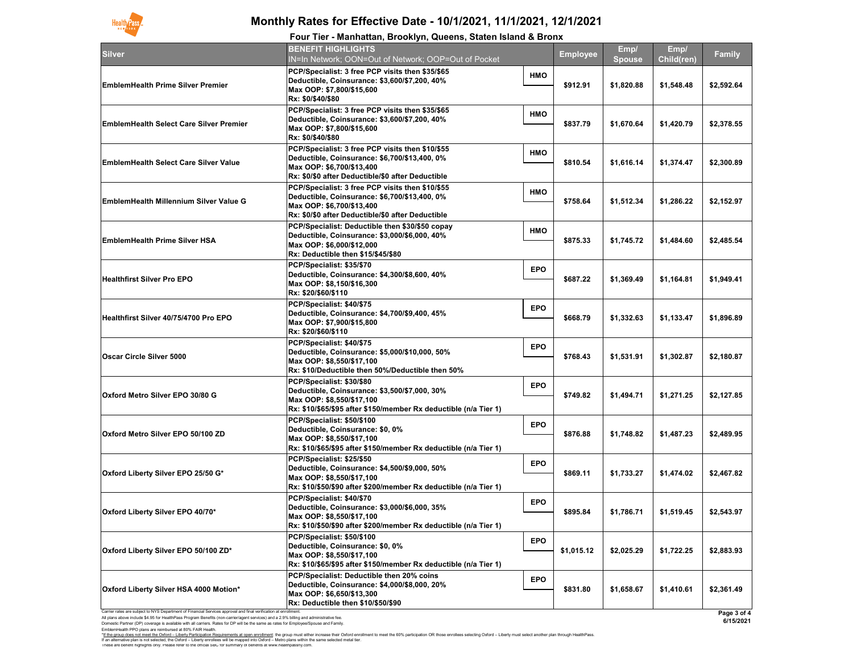Domestic Partner (DP) coverage is available with all carriers. Rates for DP will be the same as rates for Employee/Spouse and Family. EmblemHealth PPO plans are reimbursed at 80% FAIR Health.

|                                                                                                                                                                                                                                                            | i var Tier - Manhattan, Drovnyn, Queens, Olaten island & Dronx                                                                                                                                    |            |                 |                       |                    |                                |
|------------------------------------------------------------------------------------------------------------------------------------------------------------------------------------------------------------------------------------------------------------|---------------------------------------------------------------------------------------------------------------------------------------------------------------------------------------------------|------------|-----------------|-----------------------|--------------------|--------------------------------|
| Silver                                                                                                                                                                                                                                                     | <b>BENEFIT HIGHLIGHTS</b><br>IN=In Network; OON=Out of Network; OOP=Out of Pocket                                                                                                                 |            | <b>Employee</b> | Emp/<br><b>Spouse</b> | Emp/<br>Child(ren) | <b>Family</b>                  |
| <b>EmblemHealth Prime Silver Premier</b>                                                                                                                                                                                                                   | <b>PCP/Specialist: 3 free PCP visits then \$35/\$65</b><br>Deductible, Coinsurance: \$3,600/\$7,200, 40%<br>Max OOP: \$7,800/\$15,600<br><b>Rx: \$0/\$40/\$80</b>                                 | <b>HMO</b> | \$912.91        | \$1,820.88            | \$1,548.48         | \$2,592.64                     |
| <b>EmblemHealth Select Care Silver Premier</b>                                                                                                                                                                                                             | <b>PCP/Specialist: 3 free PCP visits then \$35/\$65</b><br>Deductible, Coinsurance: \$3,600/\$7,200, 40%<br>Max OOP: \$7,800/\$15,600<br><b>Rx: \$0/\$40/\$80</b>                                 | <b>HMO</b> | \$837.79        | \$1,670.64            | \$1,420.79         | \$2,378.55                     |
| <b>EmblemHealth Select Care Silver Value</b>                                                                                                                                                                                                               | <b>PCP/Specialist: 3 free PCP visits then \$10/\$55</b><br>Deductible, Coinsurance: \$6,700/\$13,400, 0%<br>Max OOP: \$6,700/\$13,400<br><b>Rx: \$0/\$0 after Deductible/\$0 after Deductible</b> | <b>HMO</b> | \$810.54        | \$1,616.14            | \$1,374.47         | \$2,300.89                     |
| <b>EmblemHealth Millennium Silver Value G</b>                                                                                                                                                                                                              | <b>PCP/Specialist: 3 free PCP visits then \$10/\$55</b><br>Deductible, Coinsurance: \$6,700/\$13,400, 0%<br>Max OOP: \$6,700/\$13,400<br><b>Rx: \$0/\$0 after Deductible/\$0 after Deductible</b> | <b>HMO</b> | \$758.64        | \$1,512.34            | \$1,286.22         | \$2,152.97                     |
| <b>EmblemHealth Prime Silver HSA</b>                                                                                                                                                                                                                       | <b>PCP/Specialist: Deductible then \$30/\$50 copay</b><br>Deductible, Coinsurance: \$3,000/\$6,000, 40%<br>Max OOP: \$6,000/\$12,000<br>Rx: Deductible then \$15/\$45/\$80                        | <b>HMO</b> | \$875.33        | \$1,745.72            | \$1,484.60         | \$2,485.54                     |
| <b>Healthfirst Silver Pro EPO</b>                                                                                                                                                                                                                          | PCP/Specialist: \$35/\$70<br>Deductible, Coinsurance: \$4,300/\$8,600, 40%<br>Max OOP: \$8,150/\$16,300<br><b>Rx: \$20/\$60/\$110</b>                                                             | <b>EPO</b> | \$687.22        | \$1,369.49            | \$1,164.81         | \$1,949.41                     |
| Healthfirst Silver 40/75/4700 Pro EPO                                                                                                                                                                                                                      | PCP/Specialist: \$40/\$75<br>Deductible, Coinsurance: \$4,700/\$9,400, 45%<br>Max OOP: \$7,900/\$15,800<br><b>Rx: \$20/\$60/\$110</b>                                                             | <b>EPO</b> | \$668.79        | \$1,332.63            | \$1,133.47         | \$1,896.89                     |
| <b>Oscar Circle Silver 5000</b>                                                                                                                                                                                                                            | PCP/Specialist: \$40/\$75<br>Deductible, Coinsurance: \$5,000/\$10,000, 50%<br>Max OOP: \$8,550/\$17,100<br>$\mathsf{Rx}\text{: }\$10\mathsf{/Deductible}$ then 50%/Deductible then 50%           | <b>EPO</b> | \$768.43        | \$1,531.91            | \$1,302.87         | \$2,180.87                     |
| <b>Oxford Metro Silver EPO 30/80 G</b>                                                                                                                                                                                                                     | <b>PCP/Specialist: \$30/\$80</b><br>Deductible, Coinsurance: \$3,500/\$7,000, 30%<br>Max OOP: \$8,550/\$17,100<br>$Rx: $10/$65/$95 after $150/member Rx deductible (n/a Tier 1)$                  | <b>EPO</b> | \$749.82        | \$1,494.71            | \$1,271.25         | \$2,127.85                     |
| <b>Oxford Metro Silver EPO 50/100 ZD</b>                                                                                                                                                                                                                   | PCP/Specialist: \$50/\$100<br>Deductible, Coinsurance: \$0, 0%<br>Max OOP: \$8,550/\$17,100<br> Rx: \$10/\$65/\$95 after \$150/member Rx deductible (n/a Tier 1)                                  | <b>EPO</b> | \$876.88        | \$1,748.82            | \$1,487.23         | \$2,489.95                     |
| Oxford Liberty Silver EPO 25/50 G*                                                                                                                                                                                                                         | PCP/Specialist: \$25/\$50<br>Deductible, Coinsurance: \$4,500/\$9,000, 50%<br>Max OOP: \$8,550/\$17,100<br> Rx: \$10/\$50/\$90 after \$200/member Rx deductible (n/a Tier 1)                      | <b>EPO</b> | \$869.11        | \$1,733.27            | \$1,474.02         | \$2,467.82                     |
| Oxford Liberty Silver EPO 40/70*                                                                                                                                                                                                                           | PCP/Specialist: \$40/\$70<br>Deductible, Coinsurance: \$3,000/\$6,000, 35%<br>Max OOP: \$8,550/\$17,100<br> Rx: \$10/\$50/\$90 after \$200/member Rx deductible (n/a Tier 1)                      | <b>EPO</b> | \$895.84        | \$1,786.71            | \$1,519.45         | \$2,543.97                     |
| Oxford Liberty Silver EPO 50/100 ZD*                                                                                                                                                                                                                       | PCP/Specialist: \$50/\$100<br>Deductible, Coinsurance: \$0, 0%<br>Max OOP: \$8,550/\$17,100<br> Rx: \$10/\$65/\$95 after \$150/member Rx deductible (n/a Tier 1)                                  | <b>EPO</b> | \$1,015.12      | \$2,025.29            | \$1,722.25         | \$2,883.93                     |
| <b>Oxford Liberty Silver HSA 4000 Motion*</b>                                                                                                                                                                                                              | <b>PCP/Specialist: Deductible then 20% coins</b><br>Deductible, Coinsurance: \$4,000/\$8,000, 20%<br>Max OOP: \$6,650/\$13,300<br><b>Rx: Deductible then \$10/\$50/\$90</b>                       | <b>EPO</b> | \$831.80        | \$1,658.67            | \$1,410.61         | \$2,361.49                     |
| Carrier rates are subject to NYS Department of Financial Services approval and final verification at enrollment.<br>All plans above include \$4.95 for HealthPass Program Benefits (non-carrier/agent services) and a 2.9% billing and administrative fee. |                                                                                                                                                                                                   |            |                 |                       |                    | Page 3 of 4<br>$CIA$ $E/20024$ |

These are benefit highlights only. Please refer to the official SBC for summary of benefits at www.healthpassny.com. \*<u>If the group does not meet the Oxford – Liberty Participation Requirements at open enrollment</u>: the group must either increase their Oxford enrollment to meet the 60% participation OR those enrollees selecting Oxford – L If an alternative plan is not selected, the Oxford – Liberty enrollees will be mapped into Oxford – Metro plans within the same selected metal tier.

### **ftan, Brooklyn, Queens, Staten Island & Bronx**



## **Monthly Rates for Effective Date - 10/1/2021, 11/1/2021, 12/1/2021**

| <b>Four Tier - Manhat</b> |  |  |  |  |
|---------------------------|--|--|--|--|
|---------------------------|--|--|--|--|